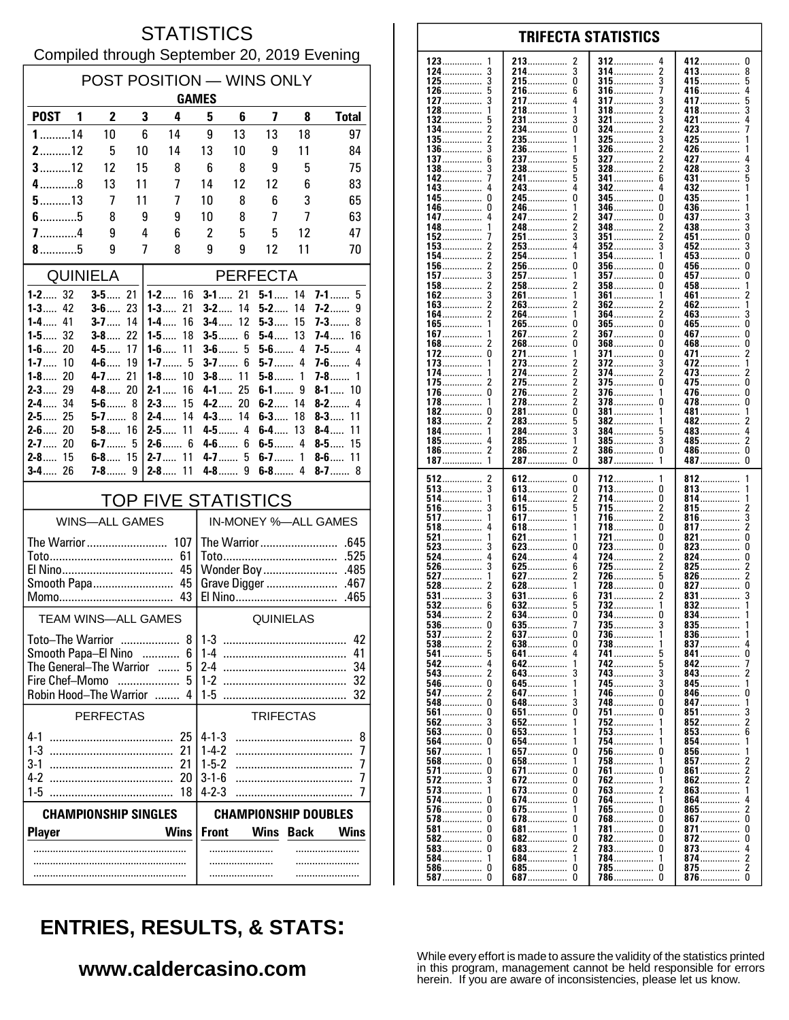### **STATISTICS** Compiled through September 20, 2019 Evening

| POST POSITION - WINS ONLY<br><b>GAMES</b>                                 |                          |          |                                |                             |                             |                         |             |                            |  |
|---------------------------------------------------------------------------|--------------------------|----------|--------------------------------|-----------------------------|-----------------------------|-------------------------|-------------|----------------------------|--|
| <b>POST</b><br>$\blacksquare$                                             | $\overline{2}$           | 3        | 4                              | 5                           | 6                           | $\overline{\mathbf{z}}$ | 8           | <b>Total</b>               |  |
| $1$ 14                                                                    | 10                       | 6        | 14                             | 9                           | 13                          | 13                      | 18          | 97                         |  |
| $2$ 12                                                                    | 5                        | 10       | 14                             | 13                          | 10                          | 9                       | 11          | 84                         |  |
| $3$ 12                                                                    | 12                       | 15       | 8                              | 6                           | 8                           | 9                       | 5           | 75                         |  |
| $4$ 8                                                                     | 13                       | 11       | 7                              | 14                          | 12                          | 12                      | 6           | 83                         |  |
| $5$ 13                                                                    | 7                        | 11       | 7                              | 10                          | 8                           | 6                       | 3           | 65                         |  |
| $6$ 5                                                                     | 8                        | 9        | 9                              | 10                          | 8                           | 7                       | 7           | 63                         |  |
| $7$ 4                                                                     | 9                        | 4        | 6                              | $\overline{2}$              | 5                           | 5                       | 12          | 47                         |  |
|                                                                           | 9                        | 7        | 8                              | 9                           | 9                           | 12                      | 11          | 70                         |  |
| <b>QUINIELA</b>                                                           |                          |          |                                | <b>PERFECTA</b>             |                             |                         |             |                            |  |
| $1 - 2$ 32<br>$1 - 3$<br>42                                               | $3 - 5$ 21<br>$3 - 6$ 23 |          | $1 - 2$ 16<br>$1 - 3$ 21       | $3-2$                       | $3 - 1$ 21<br>14            | $5 - 1$ 14<br>$5 - 2$   | 14          | $7-1$<br>5<br>7-2…….<br>9  |  |
| $1 - 4$ 41                                                                | <b>3-7</b> ……            | 14       | 16<br>$1-4$                    |                             | $3 - 4$ 12                  | 5-3                     | 15          | 7-3<br>8                   |  |
| $1 - 5$ 32                                                                | $3 - 8$ 22               |          | 18<br>1-5……                    |                             | $3 - 5$ 6                   | 5-4                     | 13          | <b>7-4</b> 16              |  |
| $1 - 6$ 20<br>$1 - 7$<br>10                                               | $4-5$<br>$4 - 6$         | 17<br>19 | $1-6$<br>11<br>1-7…… 5         | $3-6$<br>$3-7$              | 5<br>6                      | $5-6$ 4<br>$5-7$        | 4           | $7 - 5$<br>4<br>$7-6$<br>4 |  |
| $1 - 8$ 20                                                                | 4-7 21                   |          | $1-8$<br>10                    |                             | $3 - 8$ 11                  | $5-8$                   | 1           | 7-8……<br>1                 |  |
| 29<br>$2 - 3$                                                             | $4 - 8$ 20               |          | $2 - 1$<br>16                  |                             | $4 - 1$ 25                  | 6-19                    |             | $8 - 1$ 10                 |  |
| $2 - 4$ 34<br>$2 - 5$ 25                                                  | $5 - 6$ 8<br>$5-7$       | 8        | $2 - 3$<br>15<br>$2 - 4$<br>14 |                             | $4 - 2$ 20<br>$4 - 3$ 14    | $6 - 2$ 14<br>$6 - 3$   | 18          | $8-2$<br>4<br>$8 - 3$ 11   |  |
| $2 - 6$ 20                                                                | $5 - 8$ 16               |          | 11<br>2-5……                    |                             | 4-5 4                       | $6-4$                   | 13          | $8-4$<br>11                |  |
| $2 - 7$ 20                                                                |                          |          | $2 - 6$ 6                      |                             | $4-6$ 6                     | 6-5 4                   |             | $8-5$<br>15                |  |
| $2 - 8$ 15<br>$3 - 4$ 26                                                  | $6 - 8$ 15               |          | 11<br>$2 - 7$<br>11<br>$2 - 8$ | $4 - 7$<br>$4-8$            | 5<br>9                      | $6 - 7$ 1<br>$6-8$      | 4           | $8-6$<br>11<br>$8 - 7$ 8   |  |
|                                                                           |                          |          |                                |                             |                             |                         |             |                            |  |
| <b>TOP FIVE STATISTICS</b><br><b>WINS-ALL GAMES</b>                       |                          |          |                                | IN-MONEY %-ALL GAMES        |                             |                         |             |                            |  |
|                                                                           |                          |          |                                |                             |                             |                         |             |                            |  |
| The Warrior  107                                                          |                          |          | 61                             | The Warrior<br>.645<br>.525 |                             |                         |             |                            |  |
| 45                                                                        |                          |          |                                | Wonder Boy<br>.485          |                             |                         |             |                            |  |
| Smooth Papa 45                                                            |                          |          | Grave Digger<br>.467           |                             |                             |                         |             |                            |  |
|                                                                           |                          |          |                                |                             |                             | .465                    |             |                            |  |
| <b>TEAM WINS-ALL GAMES</b>                                                |                          |          |                                | QUINIELAS                   |                             |                         |             |                            |  |
| Toto–The Warrior                                                          |                          |          | 8 <sup>1</sup>                 | 42<br>$1 - 3$               |                             |                         |             |                            |  |
| Smooth Papa-El Nino<br>6<br>.<br>The General-The Warrior<br>5<br>$\ldots$ |                          |          | $1-4$<br>41<br>2-4<br>34       |                             |                             |                         |             |                            |  |
| Fire Chef-Momo<br>5                                                       |                          |          | $1 - 2$<br>32                  |                             |                             |                         |             |                            |  |
| Robin Hood-The Warrior                                                    |                          |          | 4<br>.                         | 1-5                         |                             |                         |             | 32                         |  |
| <b>PERFECTAS</b>                                                          |                          |          |                                | <b>TRIFECTAS</b>            |                             |                         |             |                            |  |
| 4-1                                                                       |                          |          | 25                             | 4-1-3                       |                             |                         |             | 8                          |  |
| $1 - 3$<br>3-1                                                            |                          |          | 21<br>21                       | $1 - 4 - 2$<br>$1-5-2$      |                             |                         |             | 7<br>7                     |  |
| 4-2                                                                       |                          |          | 20                             | $3 - 1 - 6$                 |                             |                         |             | 7                          |  |
| $1 - 5$                                                                   |                          |          | 18                             | $4 - 2 - 3$                 |                             |                         |             | 7                          |  |
| <b>CHAMPIONSHIP SINGLES</b>                                               |                          |          |                                |                             | <b>CHAMPIONSHIP DOUBLES</b> |                         |             |                            |  |
| <b>Player</b>                                                             |                          |          | <b>Wins</b>                    | <b>Front</b>                |                             | Wins                    | <b>Back</b> | <b>Wins</b>                |  |
|                                                                           |                          |          |                                |                             |                             |                         |             |                            |  |
|                                                                           |                          |          |                                |                             |                             |                         |             |                            |  |
|                                                                           |                          |          |                                |                             |                             |                         |             |                            |  |

#### **TRIFECTA STATISTICS** 213 412  $\mathbf{0}$ 2 312 3 214................  $\overline{3}$ 314  $\overline{2}$ 413 8 . . . . . . . . . . . . . . . . . . . . . . . . . . . . . 3  $215$ ................  $\pmb{0}$ 3 5 315 415................ . . . . . . . . . . . . . . . . . . . . . . . . . . . . . 5 216 6 316  $\overline{1}$ 416 4 .............. . . . . . . . . . . . . . . . . . . . . . . . . . . 3 217  $\overline{4}$ 317 3 417 5 . . . . . . . . . . . . . . . . . . . . . . . . . . . . . . . . . . . . . 218  $\mathbf{1}$ 318 2 418 3 1  $\bar{3}$ 231................ 321  $421$ 5 3  $\overline{2}$  $\pmb{0}$  $\overline{\phantom{a}}$  $234$ ................ 324 423.... 235. 325 3 425 . . . . . . . . . . . . . . . 3 236 326  $\overline{2}$ 426 . . . . . . . . . . . . . . . . . . . . . . . . . . . . . . . . . . . . . . . . . . . . . . 6 237 5 327 2 427 . . . . . . . . . . . . . . 3 238 5 328 2 428 3 . . . . . . . . . . . . 241................ 5 341 ĥ 431 243................ 342  $432$ ......  $\ddot{\mathbf{0}}$  $\mathbf{0}$ 245 345  $\mathbf{0}$ 435 346 0 246  $\frac{1}{2}$ 436 . . . . . . . . . . . . . . . . . . . . . . . . . . . . . . . . . . . . . . . . . . .  $\overline{a}$ 247 347  $\Omega$ 437 3 . . . . . . . . . . . . . . . . . . . . . . . . . . . . . . . . . . . . . . . . . . 248  $\overline{c}$ 348 438 3 2 . . . . . . . . . . . . . . . .............. 251 3 351 2 451 0 . . . . . . . . . . . . . . . . . . . . . . . . .  $\overline{2}$ 253  $\overline{4}$ 352 3 452 3  $\overline{2}$ ň 254  $453...$ 1 354 1  $\overline{2}$  $\mathbf 0$  $\mathbf 0$ 256 356  $\Omega$  $456...$ 3 257. 357 457  $\Omega$ . . . . . . . . . . . . . . . . . . . . . . . . . . . . . 458...............  $\overline{c}$ 2 258 358  $\Omega$ . . . . . . . . . . . . . . . .............. . . . . . . . . . . . . . . . . 3 261 361 461 1 . . . . . . . . . . . . . . . . . . . . . . . . . . . . .  $\frac{2}{2}$ 263 2 362 462  $\mathbf{1}$ ............. . . . . . . . . . . . . 264................ 364 2 1 463. 3 265............... 165.................  $\dot{0}$ ō  $465$ ñ  $\overline{2}$  $\mathbf{0}$  $\mathbf 0$ 267. 367  $467...$ . . . . . . . . . . . . . . . . . . . . . . .  $\overline{0}$ Ō Ō 2 268 368 468 . . . . . . . . . . . . . . . . . . . . . . . . . . . . . . . . . . . . . . . . . . . .  $\mathbf 0$ 271. 371................ 0 471.....  $\boldsymbol{2}$ 1 . . . . . . . . . . . . . . . 372 273 3 472 . . . . . . . . . . . . . . . . . . . . . . . . . . . . . . . . . . . . . . . . . . . . . 274  $\boldsymbol{2}$ 374 2 473  $\frac{2}{0}$ ............. . . . . . . . . . . . . . . . . . . . . . . . . . . . . . 2 275  $\overline{2}$ 375 <sup>0</sup> 475 . . . . . . . . . . . . . . . . . . . . . . . . . . . . .  $\mathbf{0}$  $\Omega$  $\overline{\phantom{a}}$ 376 276. 1 476.  $\overline{2}$ ŏ 278................  $\Omega$ 478 178.  $378$  $\Omega$ 281.................  $\pmb{0}$ 381 481 . . . . . . . . . . . . . . . . . . . . . . . . . . . . . . 283 5 382 482 . . . . . . . . . . . . . . . . . . . . . . . . . . . . . . . . . . . . . . . . . . . . . 284 3 384 483 4 . . . . . . . . . . . . . . . ............... . . . . . . . . . . . . . . . .  $\overline{\mathbf{1}}$ 285 385 3 485  $\mathcal{P}$ 4 . . . . . . . . . . . . . . . . . . . . . . . . . . . . . . . . . . . . . . . . . . . . . . . . . . . . . . . . .  $\overline{\phantom{a}}$ 286.  $\overline{\phantom{a}}$ 386  $\Omega$ 486................  $\Omega$ . . . . . . . . . . . . . . . . . . . . . . . . . . . . . . . . . . . . . . . . . . . .  $\overline{0}$  $\tilde{0}$ 287................  $\overline{1}$ 387 387  $\mathbf{1}$  $\boldsymbol{2}$ 612  $\pmb{0}$ 712 812 . . . . . . . . . . . . . . 3  $\pmb{0}$ 713 813 . . . . . . . . . . . . . . . . . . . . . . . . . . . . . . . . ............... 614  $\overline{2}$ 714 0 814 1 . . . . . . . . . . . . . . . . . . . . . . . . . . . . . . . . . . . . . . . . . . . . . 3 615 -5 715  $\overline{2}$ 815  $\frac{2}{3}$ . . . . . . . . . . . . . . . . . . . . . . . . . . . . . . . . . . . . . .  $\overline{2}$ 617... 1 716. 816.  $518$  $\Omega$  $618$ ................ 718  $817...$ . . . . . . . . . . . . . . . . . . . . . . . . . . . . . . ō 0 821 621 721 . . . . . . . . . . . . . . . . . . . . .  $823$ 3 623  $\mathbf 0$ 723  $\theta$  $\pmb{0}$ . . . . . . . . . . . . . . . . . . . . . . . . . . . . . . . . . . . . . . . . . . . . . . . . . . . . . 4 624  $\overline{4}$ 724 2 824 0 . . . . . . . . . . . . . . . . . . . . . . . . . . . . . . . . . . . . . . . . . . .  $725.726$ 3 625  $6\overline{6}$ 2 825  $\frac{2}{2}$ . . . . . . . . . . . . . . 627 5  $\mathbf{1}$ 2 826 528  $\dot{2}$  $628$ .................  $728$ ................. Ō ō  $827$  $\overline{3}$ 631 731 831 6 . . . . . . . . . . . . . . . . . . . . . . . . . . . . . .

742................

. . . . . . . . . . . . . . .

. . . . . . . . . . . . . . .

. . . . . . . . . . . . . . .

3

 $\mathbf{1}$ 

5

5

3

3

 $\Omega$ 

 $\Omega$ 

 $\Omega$ 

1

n

1

<sup>0</sup>

 $\Omega$ 

 $\theta$ 

 $\theta$ 

 $\Omega$ 

 $\Omega$ 

1

 $\Omega$ 

 $\Omega$ 

. . . . . . . . . . . . . . . .

 $785$ ................

. . . . . . . . . . .

734

735

736

738

741

743

745

746

748

751

752

753

754

756

758

761

762

763

764

765

768

781

782

783

784.

786

 $832$ ......

. . . . . . . . . . . . . . . .

0

 $\Omega$ 

 $\overline{\phantom{a}}$ 

 $\overline{2}$ 

 $\overline{2}$ 

 $\sqrt{2}$ 

 $\mathbf 0$ 

 $\pmb{0}$ 

 $\Omega$ . . . . . . . . . . . . . .

 $\frac{4}{2}$ 

 $\overline{2}$ 

 $\overline{0}$ 

. . . . . . . . . . . . . . . .

. . . . . . . . .

834.....

835

836

837

841

843

845

846

847

851 852

854

857

861

862

863

865.

867

871

872

873

 $874...$ 

875................

876................

 $864...$ 

 $853$ 

856........

 $R<sub>42</sub>$ 

5

0

 $\dot{0}$ 

 $\Omega$ 

4

1

3

3

 $\Omega$ 

 $\overline{0}$ 

1

 $\mathbf{0}$ 

0

 $\Omega$ 

 $\mathbf 0$ 

 $\mathbf 0$ 

 $\Omega$ 

 $\overline{\phantom{a}}$ 

 $\mathbf{1}$ 

 $\mathbf 0$ 

 $\Omega$ 

. . . . . . . . . . . . . . .

...............

. . . . . . . . . . . . . .

. . . . . . . . . . . . 641...............

. . . . . . . . . . . . .

. . . . . . . . . . . . . . .

. . . . . . . . . . . . . . .

. . . . . . . . . . . . . .

. . . . . . . . . . . . . .

. . . . . . . . . . . . . . .

. . . . . . . . . . . . .

. . . . . . . . . . . . . . .

. . . . . . . . . . . . .

. . . . . . . . . . . . . . -1

. . . . . . . . . . . . . . .

. . . . . . . . . . . . . . .

. . . . . . . . . . . . . .

684................

685...............

. . . . . . . . . . .

653.................

123

124

125

126

127

128

132

134

135

136

137

138

142

 $143.$ 

145

146

147

148

152

153

154

156.

157

158

162

163

164

167.

168

172

173

174

175

176

182

183

184

185

186

187

512

513

514

516

517

521

523

524

526

527

531

532

534

536

537

538

541

542

543

546

547

548

561

562

563.

564

567

568

571

572

573

574

576.

578

582

583

587

6

 $\overline{2}$ 

 $\frac{0}{2}$ 

 $\overline{2}$ 

5

 $\overline{4}$ 

 $\overline{\mathbf{c}}$ 

 $\mathbf 0$ 

 $\overline{\phantom{a}}$ 

 $\Omega$ 

 $\Omega$ 

 $\mathbf{3}$ 

Ō

Ō

 $\Omega$ 

0

3

 $\mathbf{1}$ 

0

 $\Omega$ 

 $\pmb{0}$ 

 $\Omega$ 

 $\Omega$ 

 $\mathbf{1}$ 

 $\mathbf 0$ 

 $\pmb{0}$ 

. . . . . . . . . . . . . . .

. . . . . . . . . . . . . . .

. . . . . . . . . . . . . . .

. . . . . . . . . . . . . . .

. . . . . . . . . . . . . .

. . . . . . . . . . . . . .

. . . . . . . . . . . . . . .

. . . . . . . . . . . . . .

. . . . . . . . . . . . . . .

. . . . . . . . . . . . .

. . . . . . . . . . . . . . .

. . . . . . . . . . . .

.............. 0

. . . . . . . . . . . . . . .

. . . . . . . . . . . . . .

. . . . . . . . . . . .

 $581$ ................

584................

586...............

. . . . . . . . . .

632.

634.

635

637

638

642.

643

645.

647

648

651

652

654

657

658

671

672

673

674.

675

678

681

682

683

687.

#### While every effort is made to assure the validity of the statistics printed in this program, management cannot be held responsible for errors herein. If you are aware of inconsistencies, please let us know.

# **ENTRIES, RESULTS, & STATS:**

#### www.caldercasino.com